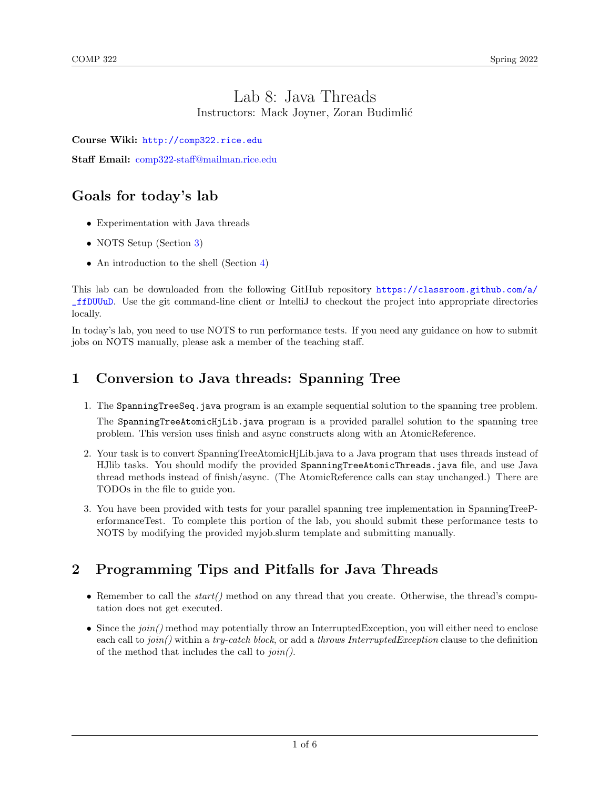## Lab 8: Java Threads Instructors: Mack Joyner, Zoran Budimlić

Course Wiki: <http://comp322.rice.edu>

Staff Email: [comp322-staff@mailman.rice.edu](mailto:comp322-staff@mailman.rice.edu)

# Goals for today's lab

- Experimentation with Java threads
- NOTS Setup (Section [3\)](#page-1-0)
- An introduction to the shell (Section [4\)](#page-3-0)

This lab can be downloaded from the following GitHub repository [https://classroom.github.com/a/](https://classroom.github.com/a/_ffDUUuD) [\\_ffDUUuD](https://classroom.github.com/a/_ffDUUuD). Use the git command-line client or IntelliJ to checkout the project into appropriate directories locally.

In today's lab, you need to use NOTS to run performance tests. If you need any guidance on how to submit jobs on NOTS manually, please ask a member of the teaching staff.

# 1 Conversion to Java threads: Spanning Tree

1. The SpanningTreeSeq.java program is an example sequential solution to the spanning tree problem.

The SpanningTreeAtomicHjLib.java program is a provided parallel solution to the spanning tree problem. This version uses finish and async constructs along with an AtomicReference.

- 2. Your task is to convert SpanningTreeAtomicHjLib.java to a Java program that uses threads instead of HJlib tasks. You should modify the provided SpanningTreeAtomicThreads.java file, and use Java thread methods instead of finish/async. (The AtomicReference calls can stay unchanged.) There are TODOs in the file to guide you.
- 3. You have been provided with tests for your parallel spanning tree implementation in SpanningTreePerformanceTest. To complete this portion of the lab, you should submit these performance tests to NOTS by modifying the provided myjob.slurm template and submitting manually.

# 2 Programming Tips and Pitfalls for Java Threads

- Remember to call the  $start()$  method on any thread that you create. Otherwise, the thread's computation does not get executed.
- Since the  $\pi$  method may potentially throw an InterruptedException, you will either need to enclose each call to  $join()$  within a try-catch block, or add a throws InterruptedException clause to the definition of the method that includes the call to join().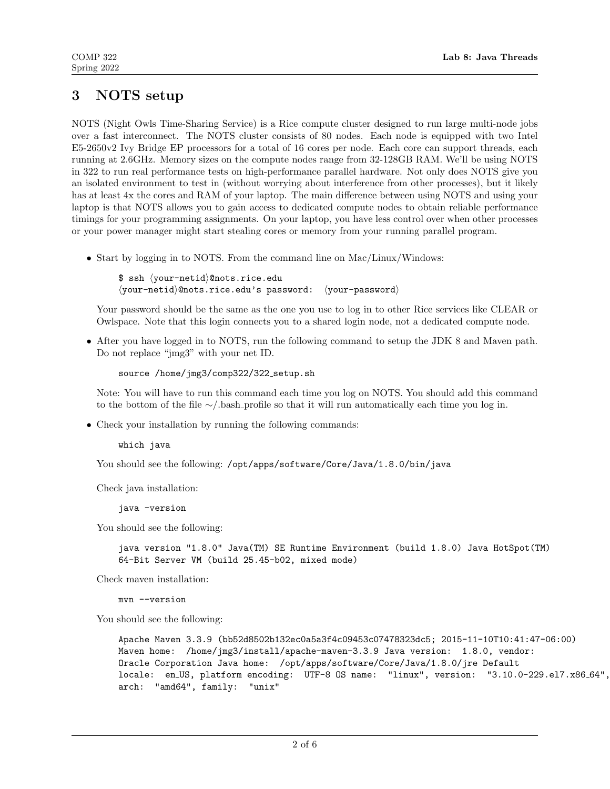# <span id="page-1-0"></span>3 NOTS setup

NOTS (Night Owls Time-Sharing Service) is a Rice compute cluster designed to run large multi-node jobs over a fast interconnect. The NOTS cluster consists of 80 nodes. Each node is equipped with two Intel E5-2650v2 Ivy Bridge EP processors for a total of 16 cores per node. Each core can support threads, each running at 2.6GHz. Memory sizes on the compute nodes range from 32-128GB RAM. We'll be using NOTS in 322 to run real performance tests on high-performance parallel hardware. Not only does NOTS give you an isolated environment to test in (without worrying about interference from other processes), but it likely has at least 4x the cores and RAM of your laptop. The main difference between using NOTS and using your laptop is that NOTS allows you to gain access to dedicated compute nodes to obtain reliable performance timings for your programming assignments. On your laptop, you have less control over when other processes or your power manager might start stealing cores or memory from your running parallel program.

• Start by logging in to NOTS. From the command line on Mac/Linux/Windows:

\$ ssh \your-netid\@nots.rice.edu  $\langle$ your-netid $\rangle$ @nots.rice.edu's password:  $\langle$ your-password $\rangle$ 

Your password should be the same as the one you use to log in to other Rice services like CLEAR or Owlspace. Note that this login connects you to a shared login node, not a dedicated compute node.

• After you have logged in to NOTS, run the following command to setup the JDK 8 and Maven path. Do not replace "jmg3" with your net ID.

source /home/jmg3/comp322/322 setup.sh

Note: You will have to run this command each time you log on NOTS. You should add this command to the bottom of the file ∼/.bash profile so that it will run automatically each time you log in.

• Check your installation by running the following commands:

which java

You should see the following: /opt/apps/software/Core/Java/1.8.0/bin/java

Check java installation:

java -version

You should see the following:

java version "1.8.0" Java(TM) SE Runtime Environment (build 1.8.0) Java HotSpot(TM) 64-Bit Server VM (build 25.45-b02, mixed mode)

Check maven installation:

mvn --version

You should see the following:

Apache Maven 3.3.9 (bb52d8502b132ec0a5a3f4c09453c07478323dc5; 2015-11-10T10:41:47-06:00) Maven home: /home/jmg3/install/apache-maven-3.3.9 Java version: 1.8.0, vendor: Oracle Corporation Java home: /opt/apps/software/Core/Java/1.8.0/jre Default locale: en US, platform encoding: UTF-8 OS name: "linux", version: "3.10.0-229.el7.x86 64", arch: "amd64", family: "unix"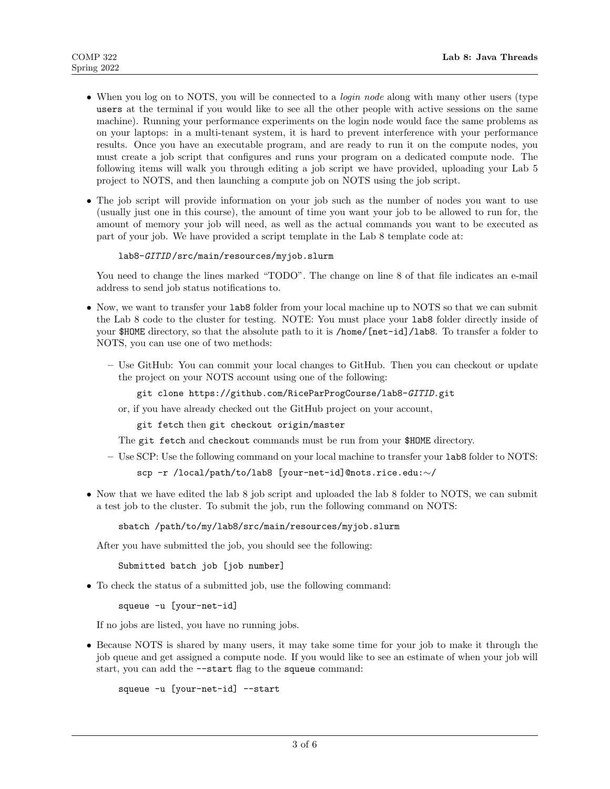- When you log on to NOTS, you will be connected to a *login node* along with many other users (type users at the terminal if you would like to see all the other people with active sessions on the same machine). Running your performance experiments on the login node would face the same problems as on your laptops: in a multi-tenant system, it is hard to prevent interference with your performance results. Once you have an executable program, and are ready to run it on the compute nodes, you must create a job script that configures and runs your program on a dedicated compute node. The following items will walk you through editing a job script we have provided, uploading your Lab 5 project to NOTS, and then launching a compute job on NOTS using the job script.
- The job script will provide information on your job such as the number of nodes you want to use (usually just one in this course), the amount of time you want your job to be allowed to run for, the amount of memory your job will need, as well as the actual commands you want to be executed as part of your job. We have provided a script template in the Lab 8 template code at:

```
lab8-GITID /src/main/resources/myjob.slurm
```
You need to change the lines marked "TODO". The change on line 8 of that file indicates an e-mail address to send job status notifications to.

- Now, we want to transfer your lab8 folder from your local machine up to NOTS so that we can submit the Lab 8 code to the cluster for testing. NOTE: You must place your lab8 folder directly inside of your \$HOME directory, so that the absolute path to it is /home/[net-id]/lab8. To transfer a folder to NOTS, you can use one of two methods:
	- Use GitHub: You can commit your local changes to GitHub. Then you can checkout or update the project on your NOTS account using one of the following:

git clone https://github.com/RiceParProgCourse/lab8-GITID.git

or, if you have already checked out the GitHub project on your account,

git fetch then git checkout origin/master

The git fetch and checkout commands must be run from your \$HOME directory.

– Use SCP: Use the following command on your local machine to transfer your lab8 folder to NOTS:

```
scp -r /local/path/to/lab8 [your-net-id]@nots.rice.edu:∼/
```
• Now that we have edited the lab 8 job script and uploaded the lab 8 folder to NOTS, we can submit a test job to the cluster. To submit the job, run the following command on NOTS:

sbatch /path/to/my/lab8/src/main/resources/myjob.slurm

After you have submitted the job, you should see the following:

Submitted batch job [job number]

• To check the status of a submitted job, use the following command:

squeue -u [your-net-id]

If no jobs are listed, you have no running jobs.

• Because NOTS is shared by many users, it may take some time for your job to make it through the job queue and get assigned a compute node. If you would like to see an estimate of when your job will start, you can add the --start flag to the squeue command:

squeue -u [your-net-id] --start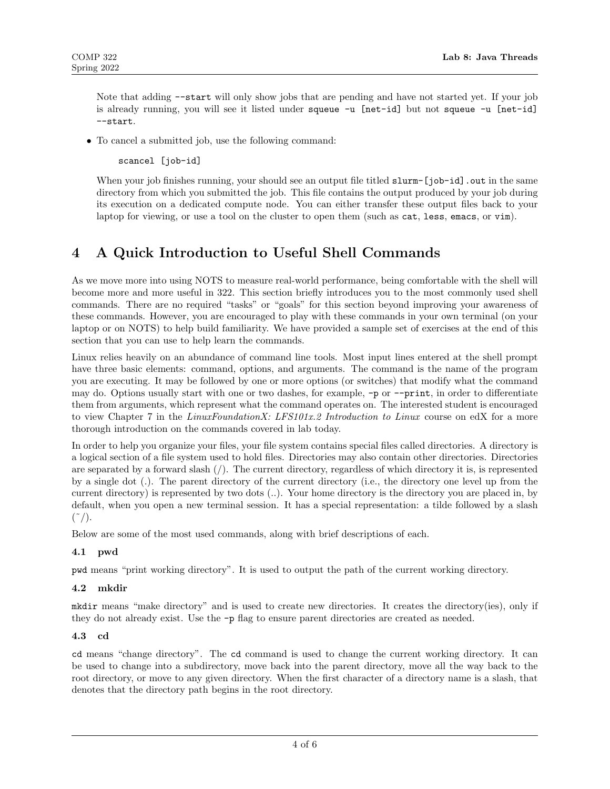Note that adding --start will only show jobs that are pending and have not started yet. If your job is already running, you will see it listed under squeue -u [net-id] but not squeue -u [net-id] --start.

• To cancel a submitted job, use the following command:

scancel [job-id]

When your job finishes running, your should see an output file titled slurm-[job-id]. out in the same directory from which you submitted the job. This file contains the output produced by your job during its execution on a dedicated compute node. You can either transfer these output files back to your laptop for viewing, or use a tool on the cluster to open them (such as cat, less, emacs, or vim).

# <span id="page-3-0"></span>4 A Quick Introduction to Useful Shell Commands

As we move more into using NOTS to measure real-world performance, being comfortable with the shell will become more and more useful in 322. This section briefly introduces you to the most commonly used shell commands. There are no required "tasks" or "goals" for this section beyond improving your awareness of these commands. However, you are encouraged to play with these commands in your own terminal (on your laptop or on NOTS) to help build familiarity. We have provided a sample set of exercises at the end of this section that you can use to help learn the commands.

Linux relies heavily on an abundance of command line tools. Most input lines entered at the shell prompt have three basic elements: command, options, and arguments. The command is the name of the program you are executing. It may be followed by one or more options (or switches) that modify what the command may do. Options usually start with one or two dashes, for example, -p or --print, in order to differentiate them from arguments, which represent what the command operates on. The interested student is encouraged to view Chapter 7 in the LinuxFoundationX: LFS101x.2 Introduction to Linux course on edX for a more thorough introduction on the commands covered in lab today.

In order to help you organize your files, your file system contains special files called directories. A directory is a logical section of a file system used to hold files. Directories may also contain other directories. Directories are separated by a forward slash (/). The current directory, regardless of which directory it is, is represented by a single dot (.). The parent directory of the current directory (i.e., the directory one level up from the current directory) is represented by two dots (..). Your home directory is the directory you are placed in, by default, when you open a new terminal session. It has a special representation: a tilde followed by a slash  $(\tilde{\ }')$ .

Below are some of the most used commands, along with brief descriptions of each.

## 4.1 pwd

pwd means "print working directory". It is used to output the path of the current working directory.

### 4.2 mkdir

mkdir means "make directory" and is used to create new directories. It creates the directory(ies), only if they do not already exist. Use the -p flag to ensure parent directories are created as needed.

### 4.3 cd

cd means "change directory". The cd command is used to change the current working directory. It can be used to change into a subdirectory, move back into the parent directory, move all the way back to the root directory, or move to any given directory. When the first character of a directory name is a slash, that denotes that the directory path begins in the root directory.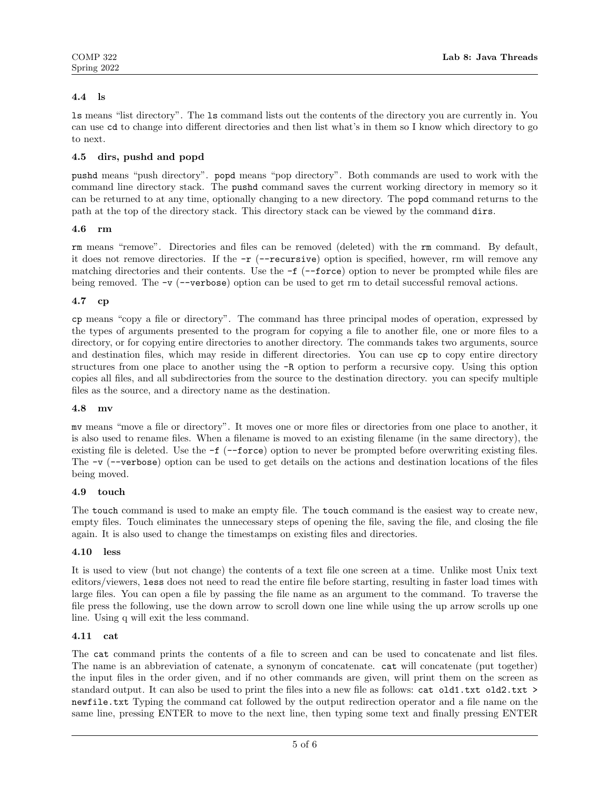## 4.4 ls

ls means "list directory". The ls command lists out the contents of the directory you are currently in. You can use cd to change into different directories and then list what's in them so I know which directory to go to next.

### 4.5 dirs, pushd and popd

pushd means "push directory". popd means "pop directory". Both commands are used to work with the command line directory stack. The pushd command saves the current working directory in memory so it can be returned to at any time, optionally changing to a new directory. The popd command returns to the path at the top of the directory stack. This directory stack can be viewed by the command dirs.

### 4.6 rm

rm means "remove". Directories and files can be removed (deleted) with the rm command. By default, it does not remove directories. If the  $-r$  ( $-\text{recursive}$ ) option is specified, however, rm will remove any matching directories and their contents. Use the  $-f$  ( $-f$ orce) option to never be prompted while files are being removed. The  $-v$  ( $-v$ erbose) option can be used to get rm to detail successful removal actions.

### 4.7 cp

cp means "copy a file or directory". The command has three principal modes of operation, expressed by the types of arguments presented to the program for copying a file to another file, one or more files to a directory, or for copying entire directories to another directory. The commands takes two arguments, source and destination files, which may reside in different directories. You can use cp to copy entire directory structures from one place to another using the -R option to perform a recursive copy. Using this option copies all files, and all subdirectories from the source to the destination directory. you can specify multiple files as the source, and a directory name as the destination.

### 4.8 mv

mv means "move a file or directory". It moves one or more files or directories from one place to another, it is also used to rename files. When a filename is moved to an existing filename (in the same directory), the existing file is deleted. Use the -f (--force) option to never be prompted before overwriting existing files. The -v (--verbose) option can be used to get details on the actions and destination locations of the files being moved.

### 4.9 touch

The touch command is used to make an empty file. The touch command is the easiest way to create new, empty files. Touch eliminates the unnecessary steps of opening the file, saving the file, and closing the file again. It is also used to change the timestamps on existing files and directories.

### 4.10 less

It is used to view (but not change) the contents of a text file one screen at a time. Unlike most Unix text editors/viewers, less does not need to read the entire file before starting, resulting in faster load times with large files. You can open a file by passing the file name as an argument to the command. To traverse the file press the following, use the down arrow to scroll down one line while using the up arrow scrolls up one line. Using q will exit the less command.

### 4.11 cat

The cat command prints the contents of a file to screen and can be used to concatenate and list files. The name is an abbreviation of catenate, a synonym of concatenate. cat will concatenate (put together) the input files in the order given, and if no other commands are given, will print them on the screen as standard output. It can also be used to print the files into a new file as follows: cat old1.txt old2.txt > newfile.txt Typing the command cat followed by the output redirection operator and a file name on the same line, pressing ENTER to move to the next line, then typing some text and finally pressing ENTER